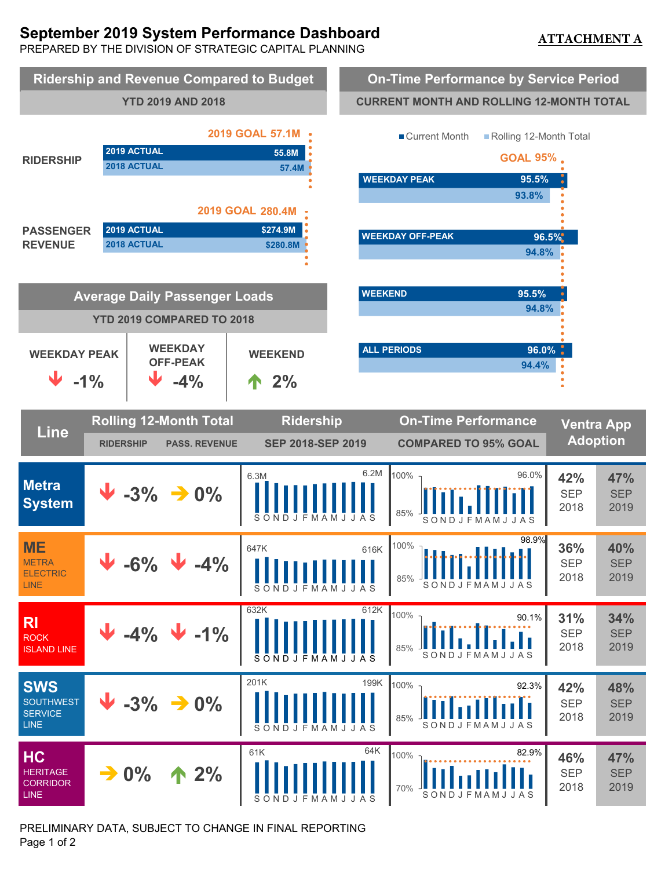# **September 2019 System Performance Dashboard**

PREPARED BY THE DIVISION OF STRATEGIC CAPITAL PLANNING

## **ATTACHMENT A**



PRELIMINARY DATA, SUBJECT TO CHANGE IN FINAL REPORTING Page 1 of 2